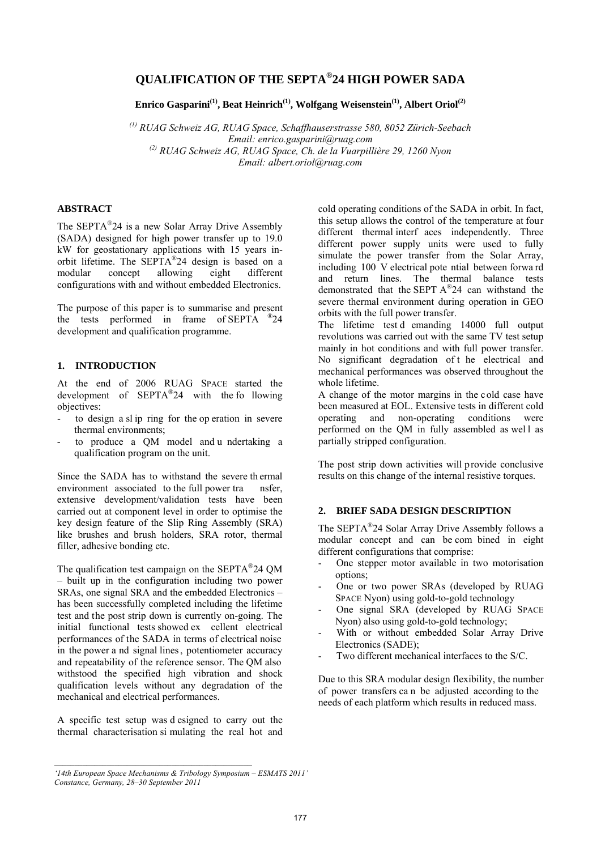# **QUALIFICATION OF THE SEPTA®24 HIGH POWER SADA**

Enrico Gasparini<sup>(1)</sup>, Beat Heinrich<sup>(1)</sup>, Wolfgang Weisenstein<sup>(1)</sup>, Albert Oriol<sup>(2)</sup>

*(1) RUAG Schweiz AG, RUAG Space, Schaffhauserstrasse 580, 8052 Zürich-Seebach Email: enrico.gasparini@ruag.com (2) RUAG Schweiz AG, RUAG Space, Ch. de la Vuarpillière 29, 1260 Nyon Email: albert.oriol@ruag.com* 

# **ABSTRACT**

The SEPTA®24 is a new Solar Array Drive Assembly (SADA) designed for high power transfer up to 19.0 kW for geostationary applications with 15 years inorbit lifetime. The SEPTA®24 design is based on a modular concept allowing eight different configurations with and without embedded Electronics.

The purpose of this paper is to summarise and present the tests performed in frame of SEPTA ®24 development and qualification programme.

## **1. INTRODUCTION**

At the end of 2006 RUAG SPACE started the development of SEPTA®24 with the fo llowing objectives:

- to design a sl ip ring for the op eration in severe thermal environments;
- to produce a OM model and u ndertaking a qualification program on the unit.

Since the SADA has to withstand the severe th ermal environment associated to the full power tra nsfer, extensive development/validation tests have been carried out at component level in order to optimise the key design feature of the Slip Ring Assembly (SRA) like brushes and brush holders, SRA rotor, thermal filler, adhesive bonding etc.

The qualification test campaign on the SEPTA®24 QM – built up in the configuration including two power SRAs, one signal SRA and the embedded Electronics – has been successfully completed including the lifetime test and the post strip down is currently on-going. The initial functional tests showed ex cellent electrical performances of the SADA in terms of electrical noise in the power a nd signal lines, potentiometer accuracy and repeatability of the reference sensor. The QM also withstood the specified high vibration and shock qualification levels without any degradation of the mechanical and electrical performances.

A specific test setup was d esigned to carry out the thermal characterisation si mulating the real hot and cold operating conditions of the SADA in orbit. In fact, this setup allows the control of the temperature at four different thermal interf aces independently. Three different power supply units were used to fully simulate the power transfer from the Solar Array, including 100 V electrical pote ntial between forwa rd and return lines. The thermal balance tests demonstrated that the SEPT A®24 can withstand the severe thermal environment during operation in GEO orbits with the full power transfer.

The lifetime test d emanding 14000 full output revolutions was carried out with the same TV test setup mainly in hot conditions and with full power transfer. No significant degradation of t he electrical and mechanical performances was observed throughout the whole lifetime.

A change of the motor margins in the cold case have been measured at EOL. Extensive tests in different cold operating and non-operating conditions were performed on the OM in fully assembled as well as partially stripped configuration.

The post strip down activities will provide conclusive results on this change of the internal resistive torques.

#### **2. BRIEF SADA DESIGN DESCRIPTION**

The SEPTA®24 Solar Array Drive Assembly follows a modular concept and can be com bined in eight different configurations that comprise:

- One stepper motor available in two motorisation options;
- One or two power SRAs (developed by RUAG SPACE Nyon) using gold-to-gold technology
- One signal SRA (developed by RUAG SPACE Nyon) also using gold-to-gold technology;
- With or without embedded Solar Array Drive Electronics (SADE);
- Two different mechanical interfaces to the S/C.

Due to this SRA modular design flexibility, the number of power transfers ca n be adjusted according to the needs of each platform which results in reduced mass.

*<sup>&#</sup>x27;14th European Space Mechanisms & Tribology Symposium – ESMATS 2011' Constance, Germany, 28–30 September 2011*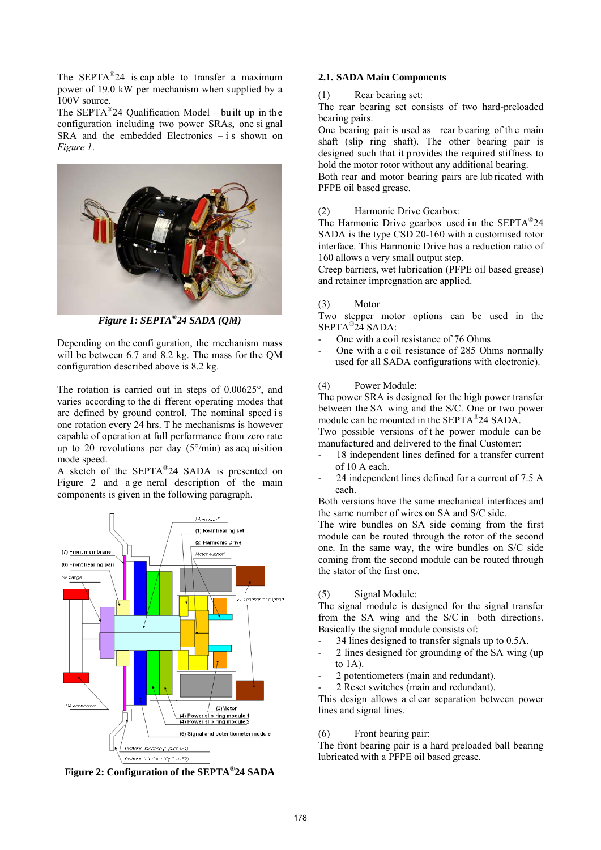The SEPTA<sup>®</sup>24 is cap able to transfer a maximum power of 19.0 kW per mechanism when supplied by a 100V source.

The  $SEPTA^{\otimes}24$  Qualification Model – built up in the configuration including two power SRAs, one si gnal  $SRA$  and the embedded Electronics  $-i$  s shown on *Figure 1*.



*Figure 1: SEPTA®24 SADA (QM)* 

Depending on the confi guration, the mechanism mass will be between 6.7 and 8.2 kg. The mass for the QM configuration described above is 8.2 kg.

The rotation is carried out in steps of 0.00625°, and varies according to the di fferent operating modes that are defined by ground control. The nominal speed i s one rotation every 24 hrs. T he mechanisms is however capable of operation at full performance from zero rate up to 20 revolutions per day  $(5^{\circ}/\text{min})$  as acq uisition mode speed.

A sketch of the SEPTA®24 SADA is presented on Figure 2 and a ge neral description of the main components is given in the following paragraph.



**Figure 2: Configuration of the SEPTA®24 SADA**

## **2.1. SADA Main Components**

(1) Rear bearing set:

The rear bearing set consists of two hard-preloaded bearing pairs.

One bearing pair is used as rear b earing of th e main shaft (slip ring shaft). The other bearing pair is designed such that it provides the required stiffness to hold the motor rotor without any additional bearing.

Both rear and motor bearing pairs are lub ricated with PFPE oil based grease.

(2) Harmonic Drive Gearbox:

The Harmonic Drive gearbox used in the  $SEPTA^@24$ SADA is the type CSD 20-160 with a customised rotor interface. This Harmonic Drive has a reduction ratio of 160 allows a very small output step.

Creep barriers, wet lubrication (PFPE oil based grease) and retainer impregnation are applied.

# (3) Motor

Two stepper motor options can be used in the SEPTA®24 SADA:

- One with a coil resistance of 76 Ohms
- One with a c oil resistance of 285 Ohms normally used for all SADA configurations with electronic).
- (4) Power Module:

The power SRA is designed for the high power transfer between the SA wing and the S/C. One or two power module can be mounted in the SEPTA®24 SADA.

Two possible versions of t he power module can be manufactured and delivered to the final Customer:

- 18 independent lines defined for a transfer current of 10 A each.
- 24 independent lines defined for a current of 7.5 A each.

Both versions have the same mechanical interfaces and the same number of wires on SA and S/C side.

The wire bundles on SA side coming from the first module can be routed through the rotor of the second one. In the same way, the wire bundles on S/C side coming from the second module can be routed through the stator of the first one.

(5) Signal Module:

The signal module is designed for the signal transfer from the SA wing and the S/C in both directions. Basically the signal module consists of:

- 34 lines designed to transfer signals up to 0.5A.
- 2 lines designed for grounding of the SA wing (up) to 1A).
- 2 potentiometers (main and redundant).
- 2 Reset switches (main and redundant).

This design allows a cl ear separation between power lines and signal lines.

(6) Front bearing pair:

The front bearing pair is a hard preloaded ball bearing lubricated with a PFPE oil based grease.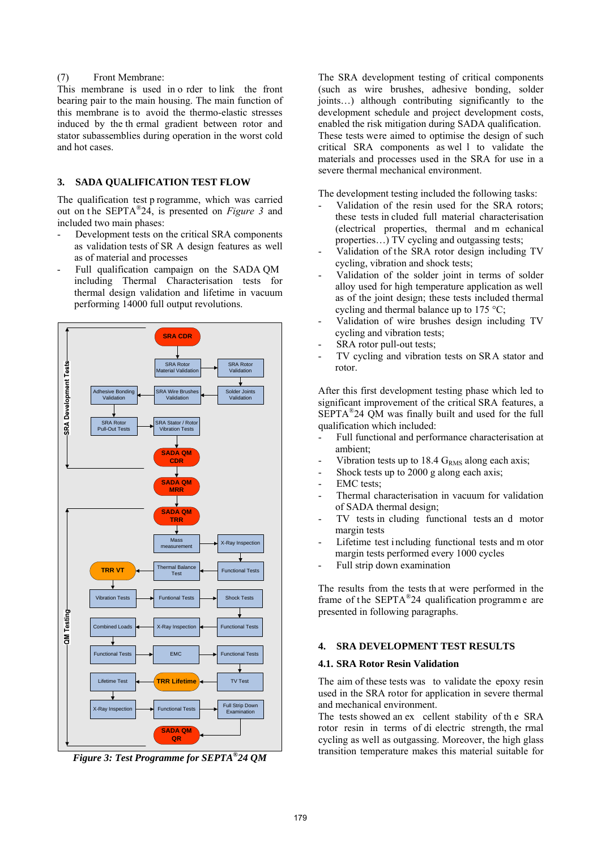## (7) Front Membrane:

This membrane is used in o rder to link the front bearing pair to the main housing. The main function of this membrane is to avoid the thermo-elastic stresses induced by the th ermal gradient between rotor and stator subassemblies during operation in the worst cold and hot cases.

## **3. SADA QUALIFICATION TEST FLOW**

The qualification test p rogramme, which was carried out on t he SEPTA®24, is presented on *Figure 3* and included two main phases:

- Development tests on the critical SRA components as validation tests of SR A design features as well as of material and processes
- Full qualification campaign on the SADA QM including Thermal Characterisation tests for thermal design validation and lifetime in vacuum performing 14000 full output revolutions.



*Figure 3: Test Programme for SEPTA®24 QM* 

The SRA development testing of critical components (such as wire brushes, adhesive bonding, solder joints…) although contributing significantly to the development schedule and project development costs, enabled the risk mitigation during SADA qualification. These tests were aimed to optimise the design of such critical SRA components as wel l to validate the materials and processes used in the SRA for use in a severe thermal mechanical environment.

The development testing included the following tasks:

- Validation of the resin used for the SRA rotors; these tests in cluded full material characterisation (electrical properties, thermal and m echanical properties…) TV cycling and outgassing tests;
- Validation of the SRA rotor design including TV cycling, vibration and shock tests;
- Validation of the solder joint in terms of solder alloy used for high temperature application as well as of the joint design; these tests included thermal cycling and thermal balance up to 175 °C;
- Validation of wire brushes design including TV cycling and vibration tests;
- SRA rotor pull-out tests;
- TV cycling and vibration tests on SRA stator and rotor.

After this first development testing phase which led to significant improvement of the critical SRA features, a SEPTA®24 QM was finally built and used for the full qualification which included:

- Full functional and performance characterisation at ambient;
- Vibration tests up to 18.4  $G<sub>RMS</sub>$  along each axis;
- Shock tests up to 2000 g along each axis;
- EMC tests:
- Thermal characterisation in vacuum for validation of SADA thermal design;
- TV tests in cluding functional tests an d motor margin tests
- Lifetime test including functional tests and m otor margin tests performed every 1000 cycles
- Full strip down examination

The results from the tests th at were performed in the frame of t he SEPTA®24 qualification programm e are presented in following paragraphs.

## **4. SRA DEVELOPMENT TEST RESULTS**

## **4.1. SRA Rotor Resin Validation**

The aim of these tests was to validate the epoxy resin used in the SRA rotor for application in severe thermal and mechanical environment.

The tests showed an ex cellent stability of th e SRA rotor resin in terms of di electric strength, the rmal cycling as well as outgassing. Moreover, the high glass transition temperature makes this material suitable for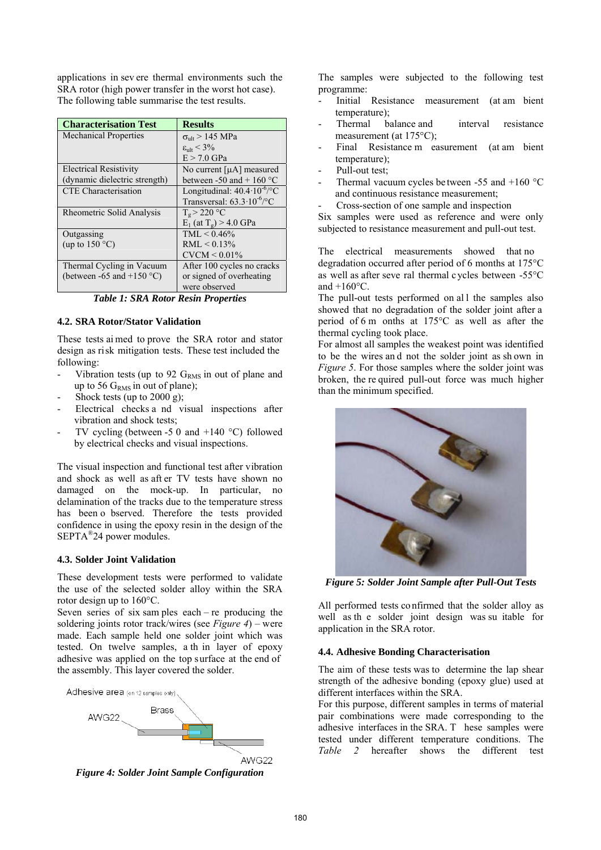applications in sev ere thermal environments such the SRA rotor (high power transfer in the worst hot case). The following table summarise the test results.

| <b>Characterisation Test</b>        | <b>Results</b>                                 |
|-------------------------------------|------------------------------------------------|
| <b>Mechanical Properties</b>        | $\sigma_{\text{ult}}$ > 145 MPa                |
|                                     | $\varepsilon_{ult}$ < 3%                       |
|                                     | $E > 7.0$ GPa                                  |
| <b>Electrical Resistivity</b>       | No current $[\mu A]$ measured                  |
| (dynamic dielectric strength)       | between -50 and + 160 $^{\circ}$ C             |
| <b>CTE</b> Characterisation         | Longitudinal: $40.4 \cdot 10^{-6}$ $\sqrt{°C}$ |
|                                     | Transversal: $63.3 \cdot 10^{-6}$ /°C          |
| Rheometric Solid Analysis           | $T_{g}$ > 220 °C                               |
|                                     | $E_1$ (at T <sub>o</sub> ) > 4.0 GPa           |
| Outgassing                          | $TML < 0.46\%$                                 |
| (up to $150^{\circ}$ C)             | $RML < 0.13\%$                                 |
|                                     | $CVCM < 0.01\%$                                |
| Thermal Cycling in Vacuum           | After 100 cycles no cracks                     |
| (between -65 and +150 $^{\circ}$ C) | or signed of overheating                       |
|                                     | were observed                                  |

*Table 1: SRA Rotor Resin Properties* 

## **4.2. SRA Rotor/Stator Validation**

These tests ai med to prove the SRA rotor and stator design as risk mitigation tests. These test included the following:

- Vibration tests (up to 92  $G<sub>RMS</sub>$  in out of plane and up to 56  $G<sub>RMS</sub>$  in out of plane);
- Shock tests (up to  $2000 \text{ g}$ );
- Electrical checks a nd visual inspections after vibration and shock tests;
- TV cycling (between -5 0 and  $+140$  °C) followed by electrical checks and visual inspections.

The visual inspection and functional test after vibration and shock as well as aft er TV tests have shown no damaged on the mock-up. In particular, no delamination of the tracks due to the temperature stress has been o bserved. Therefore the tests provided confidence in using the epoxy resin in the design of the SEPTA®24 power modules.

## **4.3. Solder Joint Validation**

These development tests were performed to validate the use of the selected solder alloy within the SRA rotor design up to 160°C.

Seven series of six samples each – re producing the soldering joints rotor track/wires (see *Figure 4*) – were made. Each sample held one solder joint which was tested. On twelve samples, a th in layer of epoxy adhesive was applied on the top surface at the end of the assembly. This layer covered the solder.



*Figure 4: Solder Joint Sample Configuration* 

The samples were subjected to the following test programme:

- Initial Resistance measurement (at am bient temperature);
- Thermal balance and interval resistance measurement (at 175<sup>o</sup>C);
- Final Resistance m easurement (at am bient temperature);
- Pull-out test;
- Thermal vacuum cycles be tween -55 and  $+160$  °C and continuous resistance measurement;
- Cross-section of one sample and inspection

Six samples were used as reference and were only subjected to resistance measurement and pull-out test.

The electrical measurements showed that no degradation occurred after period of 6 months at 175°C as well as after seve ral thermal c ycles between -55°C and  $+160^{\circ}$ C.

The pull-out tests performed on all the samples also showed that no degradation of the solder joint after a period of 6 m onths at 175°C as well as after the thermal cycling took place.

For almost all samples the weakest point was identified to be the wires an d not the solder joint as sh own in *Figure 5*. For those samples where the solder joint was broken, the re quired pull-out force was much higher than the minimum specified.



*Figure 5: Solder Joint Sample after Pull-Out Tests* 

All performed tests co nfirmed that the solder alloy as well as th e solder joint design was su itable for application in the SRA rotor.

#### **4.4. Adhesive Bonding Characterisation**

The aim of these tests was to determine the lap shear strength of the adhesive bonding (epoxy glue) used at different interfaces within the SRA.

For this purpose, different samples in terms of material pair combinations were made corresponding to the adhesive interfaces in the SRA. T hese samples were tested under different temperature conditions. The *Table 2* hereafter shows the different test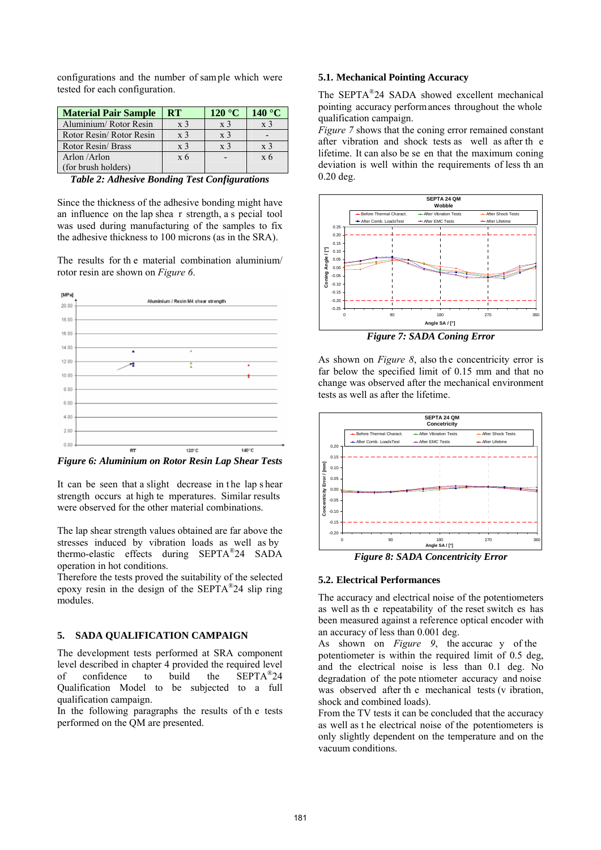configurations and the number of sam ple which were tested for each configuration.

| <b>Material Pair Sample</b> | ${\bf RT}$     | 120 °C         | 140 $\mathrm{^{\circ}C}$ |
|-----------------------------|----------------|----------------|--------------------------|
| Aluminium/Rotor Resin       | $\rm x3$       | x <sub>3</sub> | X <sup>3</sup>           |
| Rotor Resin/ Rotor Resin    | x <sub>3</sub> | x <sub>3</sub> |                          |
| Rotor Resin/Brass           | x <sup>3</sup> | x <sup>3</sup> | x <sup>3</sup>           |
| Arlon /Arlon                | x <sub>6</sub> |                | $\overline{x}$ 6         |
| (for brush holders)         |                |                |                          |

*Table 2: Adhesive Bonding Test Configurations* 

Since the thickness of the adhesive bonding might have an influence on the lap shea r strength, a s pecial tool was used during manufacturing of the samples to fix the adhesive thickness to 100 microns (as in the SRA).

The results for th e material combination aluminium/ rotor resin are shown on *Figure 6*.



*Figure 6: Aluminium on Rotor Resin Lap Shear Tests* 

It can be seen that a slight decrease in the lap s hear strength occurs at high te mperatures. Similar results were observed for the other material combinations.

The lap shear strength values obtained are far above the stresses induced by vibration loads as well as by thermo-elastic effects during SEPTA®24 SADA operation in hot conditions.

Therefore the tests proved the suitability of the selected epoxy resin in the design of the SEPTA®24 slip ring modules.

## **5. SADA QUALIFICATION CAMPAIGN**

The development tests performed at SRA component level described in chapter 4 provided the required level of confidence to build the SEPTA®24 Qualification Model to be subjected to a full qualification campaign.

In the following paragraphs the results of th e tests performed on the QM are presented.

#### **5.1. Mechanical Pointing Accuracy**

The SEPTA®24 SADA showed excellent mechanical pointing accuracy perform ances throughout the whole qualification campaign.

*Figure 7* shows that the coning error remained constant after vibration and shock tests as well as after th e lifetime. It can also be se en that the maximum coning deviation is well within the requirements of less th an 0.20 deg.



*Figure 7: SADA Coning Error* 

As shown on *Figure 8*, also the concentricity error is far below the specified limit of 0.15 mm and that no change was observed after the mechanical environment tests as well as after the lifetime.



*Figure 8: SADA Concentricity Error* 

#### **5.2. Electrical Performances**

The accuracy and electrical noise of the potentiometers as well as th e repeatability of the reset switch es has been measured against a reference optical encoder with an accuracy of less than 0.001 deg.

As shown on *Figure 9*, the accurac y of the potentiometer is within the required limit of 0.5 deg, and the electrical noise is less than 0.1 deg. No degradation of the pote ntiometer accuracy and noise was observed after the mechanical tests (v ibration, shock and combined loads).

From the TV tests it can be concluded that the accuracy as well as t he electrical noise of the potentiometers is only slightly dependent on the temperature and on the vacuum conditions.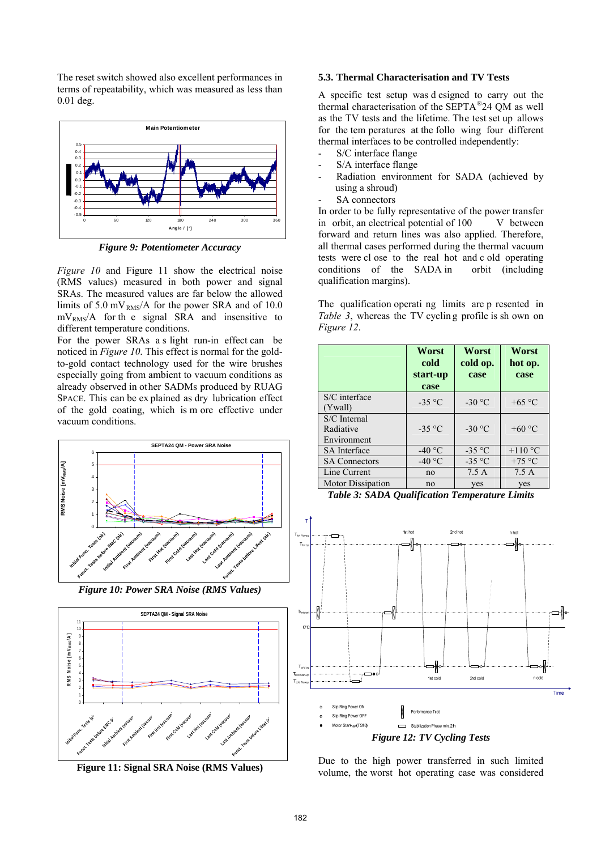The reset switch showed also excellent performances in terms of repeatability, which was measured as less than 0.01 deg.



*Figure 9: Potentiometer Accuracy* 

*Figure 10* and Figure 11 show the electrical noise (RMS values) measured in both power and signal SRAs. The measured values are far below the allowed limits of 5.0 mV<sub>RMS</sub>/A for the power SRA and of 10.0  $mV<sub>RMS</sub>/A$  for the signal SRA and insensitive to different temperature conditions.

For the power SRAs a s light run-in effect can be noticed in *Figure 10*. This effect is normal for the goldto-gold contact technology used for the wire brushes especially going from ambient to vacuum conditions as already observed in other SADMs produced by RUAG SPACE. This can be ex plained as dry lubrication effect of the gold coating, which is m ore effective under vacuum conditions.



*Figure 10: Power SRA Noise (RMS Values)* 



**Figure 11: Signal SRA Noise (RMS Values)**

## **5.3. Thermal Characterisation and TV Tests**

A specific test setup was d esigned to carry out the thermal characterisation of the SEPTA®24 QM as well as the TV tests and the lifetime. The test set up allows for the tem peratures at the follo wing four different thermal interfaces to be controlled independently:

- S/C interface flange
- S/A interface flange
- Radiation environment for SADA (achieved by using a shroud)
- SA connectors

In order to be fully representative of the power transfer in orbit, an electrical potential of 100 V between forward and return lines was also applied. Therefore, all thermal cases performed during the thermal vacuum tests were cl ose to the real hot and c old operating conditions of the SADA in orbit (including qualification margins).

The qualification operati ng limits are p resented in *Table 3*, whereas the TV cycling profile is shown on *Figure 12*.

|                                          | Worst<br>cold<br>start-up<br>case | Worst<br>cold op.<br>case | Worst<br>hot op.<br>case |
|------------------------------------------|-----------------------------------|---------------------------|--------------------------|
| S/C interface<br>(Ywall)                 | $-35$ °C                          | $-30$ °C                  | $+65$ °C                 |
| S/C Internal<br>Radiative<br>Environment | $-35$ °C                          | $-30 °C$                  | +60 $\degree$ C          |
| <b>SA</b> Interface                      | -40 $\degree$ C                   | $-35$ °C                  | $+110$ °C                |
| <b>SA Connectors</b>                     | -40 $\degree$ C                   | $-35$ °C                  | $+75$ °C                 |
| Line Current                             | no                                | 7.5A                      | 7.5A                     |
| <b>Motor Dissipation</b>                 | no                                | yes                       | yes                      |





Due to the high power transferred in such limited volume, the worst hot operating case was considered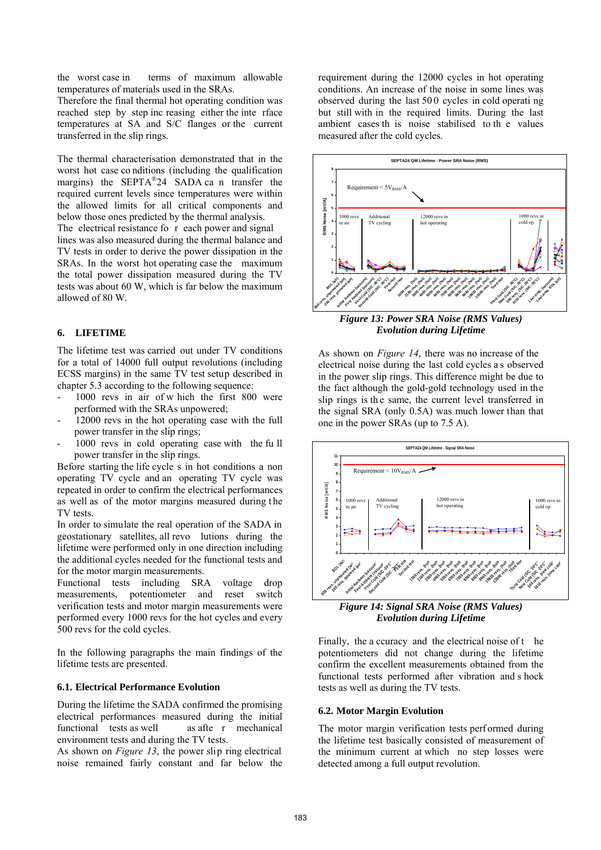the worst case in terms of maximum allowable temperatures of materials used in the SRAs.

Therefore the final thermal hot operating condition was reached step by step inc reasing either the inte rface temperatures at SA and S/C flanges or the current transferred in the slip rings.

The thermal characterisation demonstrated that in the worst hot case co nditions (including the qualification margins) the SEPTA®24 SADA ca n transfer the required current levels since temperatures were within the allowed limits for all critical components and below those ones predicted by the thermal analysis. The electrical resistance fo r each power and signal lines was also measured during the thermal balance and TV tests in order to derive the power dissipation in the SRAs. In the worst hot operating case the maximum the total power dissipation measured during the TV tests was about 60 W, which is far below the maximum allowed of 80 W.

## **6. LIFETIME**

The lifetime test was carried out under TV conditions for a total of 14000 full output revolutions (including ECSS margins) in the same TV test setup described in chapter 5.3 according to the following sequence:

- 1000 revs in air of w hich the first 800 were performed with the SRAs unpowered;
- 12000 revs in the hot operating case with the full power transfer in the slip rings;
- 1000 revs in cold operating case with the fu ll power transfer in the slip rings.

Before starting the life cycle s in hot conditions a non operating TV cycle and an operating TV cycle was repeated in order to confirm the electrical performances as well as of the motor margins measured during the TV tests.

In order to simulate the real operation of the SADA in geostationary satellites, all revo lutions during the lifetime were performed only in one direction including the additional cycles needed for the functional tests and for the motor margin measurements.

Functional tests including SRA voltage drop measurements, potentiometer and reset switch verification tests and motor margin measurements were performed every 1000 revs for the hot cycles and every 500 revs for the cold cycles.

In the following paragraphs the main findings of the lifetime tests are presented.

#### **6.1. Electrical Performance Evolution**

During the lifetime the SADA confirmed the promising electrical performances measured during the initial functional tests as well as afte r mechanical environment tests and during the TV tests.

As shown on *Figure 13*, the power slip ring electrical noise remained fairly constant and far below the

requirement during the 12000 cycles in hot operating conditions. An increase of the noise in some lines was observed during the last 50 0 cycles in cold operati ng but still with in the required limits. During the last ambient cases th is noise stabilised to th e values measured after the cold cycles.



*Evolution during Lifetime* 

As shown on *Figure 14*, there was no increase of the electrical noise during the last cold cycles a s observed in the power slip rings. This difference might be due to the fact although the gold-gold technology used in the slip rings is the same, the current level transferred in the signal SRA (only 0.5A) was much lower than that one in the power SRAs (up to 7.5 A).



*Figure 14: Signal SRA Noise (RMS Values) Evolution during Lifetime* 

Finally, the a ccuracy and the electrical noise of t he potentiometers did not change during the lifetime confirm the excellent measurements obtained from the functional tests performed after vibration and s hock tests as well as during the TV tests.

## **6.2. Motor Margin Evolution**

The motor margin verification tests performed during the lifetime test basically consisted of measurement of the minimum current at which no step losses were detected among a full output revolution.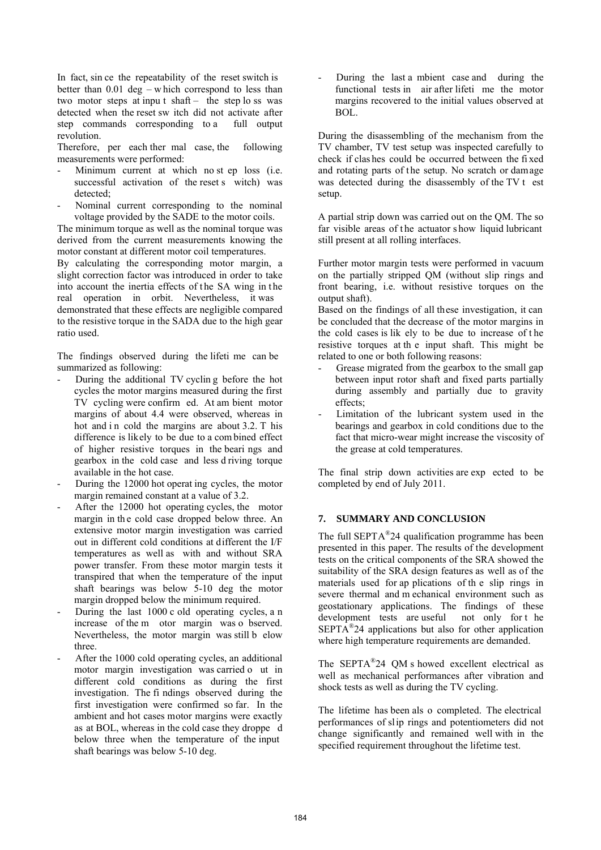In fact, sin ce the repeatability of the reset switch is better than  $0.01$  deg – which correspond to less than two motor steps at input shaft – the step lo ss was detected when the reset sw itch did not activate after step commands corresponding to a full output revolution.

Therefore, per each ther mal case, the following measurements were performed:

- Minimum current at which no st ep loss (i.e. successful activation of the reset s witch) was detected;
- Nominal current corresponding to the nominal voltage provided by the SADE to the motor coils.

The minimum torque as well as the nominal torque was derived from the current measurements knowing the motor constant at different motor coil temperatures.

By calculating the corresponding motor margin, a slight correction factor was introduced in order to take into account the inertia effects of the SA wing in the real operation in orbit. Nevertheless, it was demonstrated that these effects are negligible compared to the resistive torque in the SADA due to the high gear ratio used.

The findings observed during the lifeti me can be summarized as following:

- During the additional TV cycling before the hot cycles the motor margins measured during the first TV cycling were confirm ed. At am bient motor margins of about 4.4 were observed, whereas in hot and in cold the margins are about  $3.2$ . T his difference is likely to be due to a com bined effect of higher resistive torques in the beari ngs and gearbox in the cold case and less d riving torque available in the hot case.
- During the 12000 hot operating cycles, the motor margin remained constant at a value of 3.2.
- After the 12000 hot operating cycles, the motor margin in the cold case dropped below three. An extensive motor margin investigation was carried out in different cold conditions at different the I/F temperatures as well as with and without SRA power transfer. From these motor margin tests it transpired that when the temperature of the input shaft bearings was below 5-10 deg the motor margin dropped below the minimum required.
- During the last 1000 c old operating cycles, a n increase of the m otor margin was o bserved. Nevertheless, the motor margin was still b elow three.
- After the 1000 cold operating cycles, an additional motor margin investigation was carried o ut in different cold conditions as during the first investigation. The fi ndings observed during the first investigation were confirmed so far. In the ambient and hot cases motor margins were exactly as at BOL, whereas in the cold case they droppe d below three when the temperature of the input shaft bearings was below 5-10 deg.

During the last a mbient case and during the functional tests in air after lifeti me the motor margins recovered to the initial values observed at BOL.

During the disassembling of the mechanism from the TV chamber, TV test setup was inspected carefully to check if clas hes could be occurred between the fi xed and rotating parts of the setup. No scratch or damage was detected during the disassembly of the TV t est setup.

A partial strip down was carried out on the QM. The so far visible areas of the actuator show liquid lubricant still present at all rolling interfaces.

Further motor margin tests were performed in vacuum on the partially stripped QM (without slip rings and front bearing, i.e. without resistive torques on the output shaft).

Based on the findings of all these investigation, it can be concluded that the decrease of the motor margins in the cold cases is lik ely to be due to increase of t he resistive torques at th e input shaft. This might be related to one or both following reasons:

- Grease migrated from the gearbox to the small gap between input rotor shaft and fixed parts partially during assembly and partially due to gravity effects;
- Limitation of the lubricant system used in the bearings and gearbox in cold conditions due to the fact that micro-wear might increase the viscosity of the grease at cold temperatures.

The final strip down activities are exp ected to be completed by end of July 2011.

## **7. SUMMARY AND CONCLUSION**

The full  $SEPTA^{\circledR}24$  qualification programme has been presented in this paper. The results of the development tests on the critical components of the SRA showed the suitability of the SRA design features as well as of the materials used for ap plications of th e slip rings in severe thermal and m echanical environment such as geostationary applications. The findings of these development tests are useful not only for t he SEPTA®24 applications but also for other application where high temperature requirements are demanded.

The SEPTA<sup>®</sup>24 QM s howed excellent electrical as well as mechanical performances after vibration and shock tests as well as during the TV cycling.

The lifetime has been als o completed. The electrical performances of slip rings and potentiometers did not change significantly and remained well with in the specified requirement throughout the lifetime test.